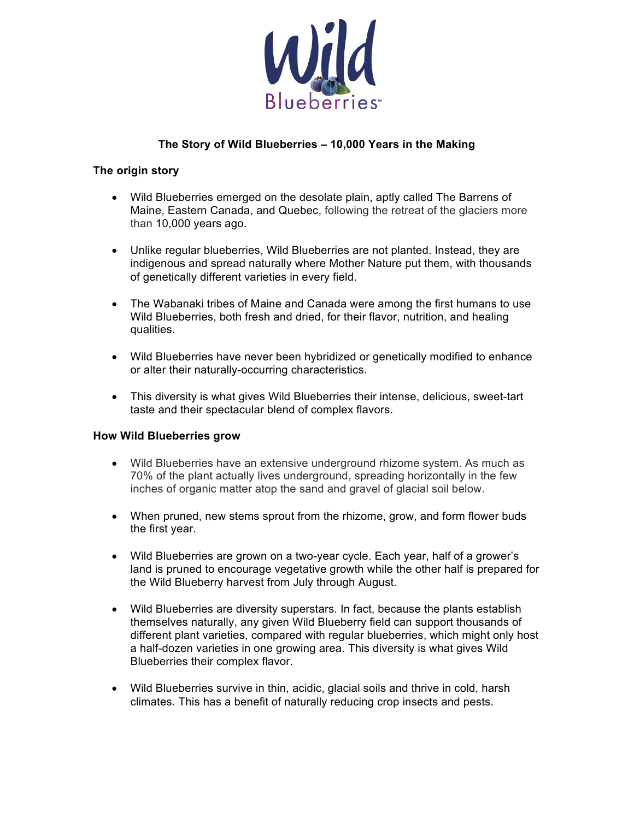

## **The Story of Wild Blueberries – 10,000 Years in the Making**

#### **The origin story**

- Wild Blueberries emerged on the desolate plain, aptly called The Barrens of Maine, Eastern Canada, and Quebec, following the retreat of the glaciers more than 10,000 years ago.
- Unlike regular blueberries, Wild Blueberries are not planted. Instead, they are indigenous and spread naturally where Mother Nature put them, with thousands of genetically different varieties in every field.
- The Wabanaki tribes of Maine and Canada were among the first humans to use Wild Blueberries, both fresh and dried, for their flavor, nutrition, and healing qualities.
- Wild Blueberries have never been hybridized or genetically modified to enhance or alter their naturally-occurring characteristics.
- This diversity is what gives Wild Blueberries their intense, delicious, sweet-tart taste and their spectacular blend of complex flavors.

#### **How Wild Blueberries grow**

- Wild Blueberries have an extensive underground rhizome system. As much as 70% of the plant actually lives underground, spreading horizontally in the few inches of organic matter atop the sand and gravel of glacial soil below.
- When pruned, new stems sprout from the rhizome, grow, and form flower buds the first year.
- Wild Blueberries are grown on a two-year cycle. Each year, half of a grower's land is pruned to encourage vegetative growth while the other half is prepared for the Wild Blueberry harvest from July through August.
- Wild Blueberries are diversity superstars. In fact, because the plants establish themselves naturally, any given Wild Blueberry field can support thousands of different plant varieties, compared with regular blueberries, which might only host a half-dozen varieties in one growing area. This diversity is what gives Wild Blueberries their complex flavor.
- Wild Blueberries survive in thin, acidic, glacial soils and thrive in cold, harsh climates. This has a benefit of naturally reducing crop insects and pests.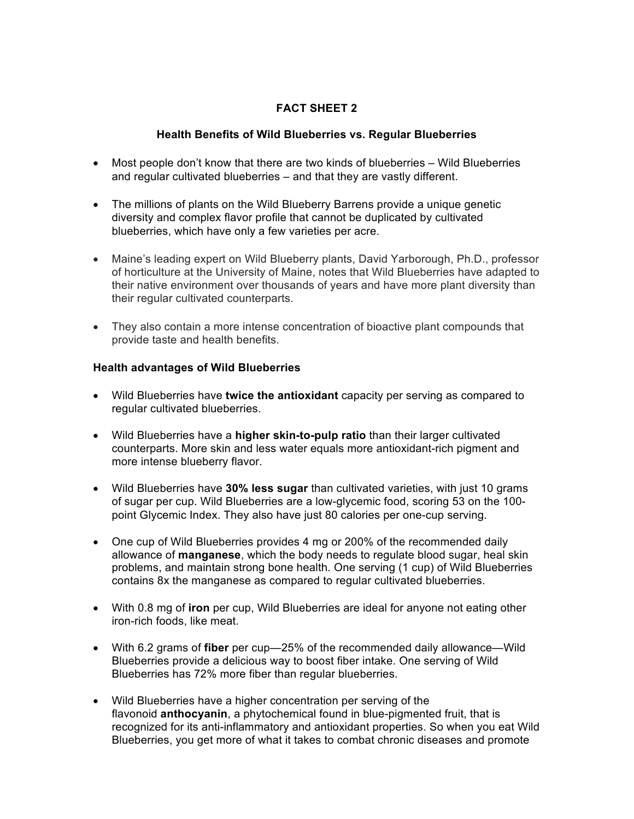# **FACT SHEET 2**

### **Health Benefits of Wild Blueberries vs. Regular Blueberries**

- Most people don't know that there are two kinds of blueberries Wild Blueberries and regular cultivated blueberries – and that they are vastly different.
- The millions of plants on the Wild Blueberry Barrens provide a unique genetic diversity and complex flavor profile that cannot be duplicated by cultivated blueberries, which have only a few varieties per acre.
- Maine's leading expert on Wild Blueberry plants, David Yarborough, Ph.D., professor of horticulture at the University of Maine, notes that Wild Blueberries have adapted to their native environment over thousands of years and have more plant diversity than their regular cultivated counterparts.
- They also contain a more intense concentration of bioactive plant compounds that provide taste and health benefits.

## **Health advantages of Wild Blueberries**

- Wild Blueberries have **twice the antioxidant** capacity per serving as compared to regular cultivated blueberries.
- Wild Blueberries have a **higher skin-to-pulp ratio** than their larger cultivated counterparts. More skin and less water equals more antioxidant-rich pigment and more intense blueberry flavor.
- Wild Blueberries have **30% less sugar** than cultivated varieties, with just 10 grams of sugar per cup. Wild Blueberries are a low-glycemic food, scoring 53 on the 100 point Glycemic Index. They also have just 80 calories per one-cup serving.
- One cup of Wild Blueberries provides 4 mg or 200% of the recommended daily allowance of **manganese**, which the body needs to regulate blood sugar, heal skin problems, and maintain strong bone health. One serving (1 cup) of Wild Blueberries contains 8x the manganese as compared to regular cultivated blueberries.
- With 0.8 mg of **iron** per cup, Wild Blueberries are ideal for anyone not eating other iron-rich foods, like meat.
- With 6.2 grams of **fiber** per cup—25% of the recommended daily allowance—Wild Blueberries provide a delicious way to boost fiber intake. One serving of Wild Blueberries has 72% more fiber than regular blueberries.
- Wild Blueberries have a higher concentration per serving of the flavonoid **anthocyanin**, a phytochemical found in blue-pigmented fruit, that is recognized for its anti-inflammatory and antioxidant properties. So when you eat Wild Blueberries, you get more of what it takes to combat chronic diseases and promote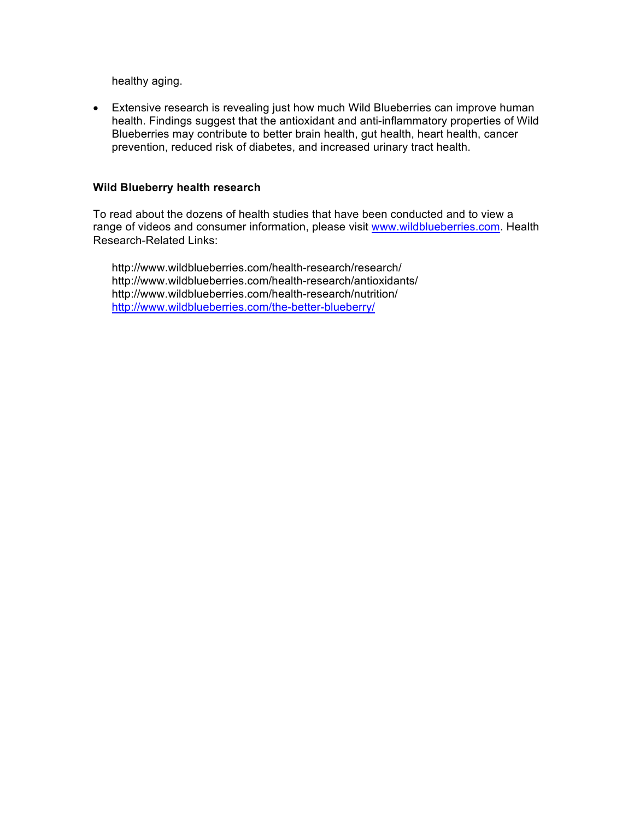healthy aging.

• Extensive research is revealing just how much Wild Blueberries can improve human health. Findings suggest that the antioxidant and anti-inflammatory properties of Wild Blueberries may contribute to better brain health, gut health, heart health, cancer prevention, reduced risk of diabetes, and increased urinary tract health.

#### **Wild Blueberry health research**

To read about the dozens of health studies that have been conducted and to view a range of videos and consumer information, please visit www.wildblueberries.com. Health Research-Related Links:

http://www.wildblueberries.com/health-research/research/ http://www.wildblueberries.com/health-research/antioxidants/ http://www.wildblueberries.com/health-research/nutrition/ http://www.wildblueberries.com/the-better-blueberry/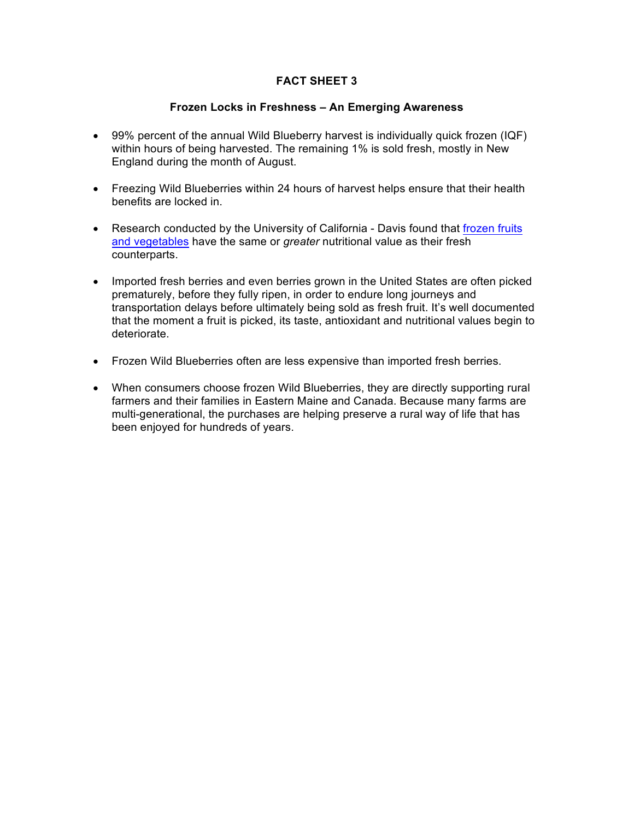## **FACT SHEET 3**

#### **Frozen Locks in Freshness – An Emerging Awareness**

- 99% percent of the annual Wild Blueberry harvest is individually quick frozen (IQF) within hours of being harvested. The remaining 1% is sold fresh, mostly in New England during the month of August.
- Freezing Wild Blueberries within 24 hours of harvest helps ensure that their health benefits are locked in.
- Research conducted by the University of California Davis found that frozen fruits and vegetables have the same or *greater* nutritional value as their fresh counterparts.
- Imported fresh berries and even berries grown in the United States are often picked prematurely, before they fully ripen, in order to endure long journeys and transportation delays before ultimately being sold as fresh fruit. It's well documented that the moment a fruit is picked, its taste, antioxidant and nutritional values begin to deteriorate.
- Frozen Wild Blueberries often are less expensive than imported fresh berries.
- When consumers choose frozen Wild Blueberries, they are directly supporting rural farmers and their families in Eastern Maine and Canada. Because many farms are multi-generational, the purchases are helping preserve a rural way of life that has been enjoyed for hundreds of years.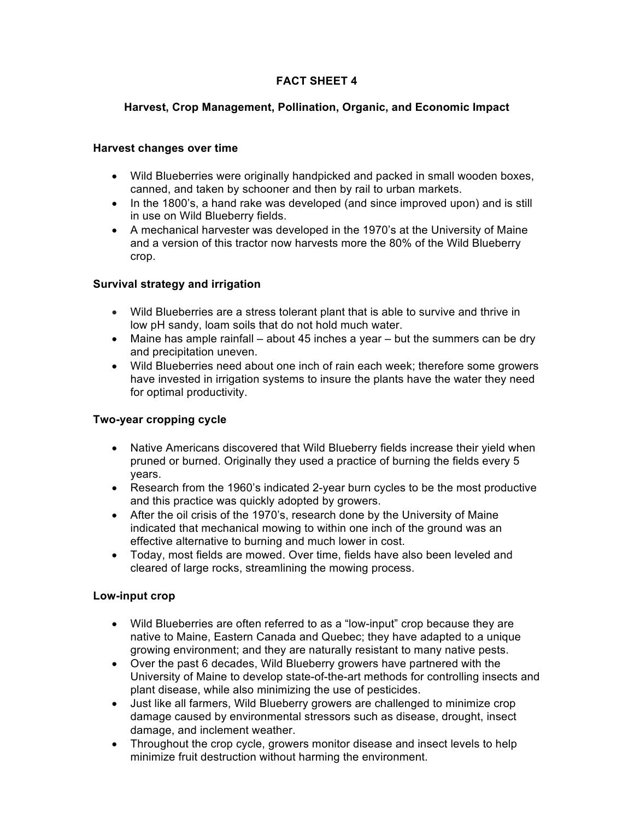# **FACT SHEET 4**

## **Harvest, Crop Management, Pollination, Organic, and Economic Impact**

#### **Harvest changes over time**

- Wild Blueberries were originally handpicked and packed in small wooden boxes, canned, and taken by schooner and then by rail to urban markets.
- In the 1800's, a hand rake was developed (and since improved upon) and is still in use on Wild Blueberry fields.
- A mechanical harvester was developed in the 1970's at the University of Maine and a version of this tractor now harvests more the 80% of the Wild Blueberry crop.

## **Survival strategy and irrigation**

- Wild Blueberries are a stress tolerant plant that is able to survive and thrive in low pH sandy, loam soils that do not hold much water.
- Maine has ample rainfall about 45 inches a year but the summers can be dry and precipitation uneven.
- Wild Blueberries need about one inch of rain each week; therefore some growers have invested in irrigation systems to insure the plants have the water they need for optimal productivity.

#### **Two-year cropping cycle**

- Native Americans discovered that Wild Blueberry fields increase their yield when pruned or burned. Originally they used a practice of burning the fields every 5 years.
- Research from the 1960's indicated 2-year burn cycles to be the most productive and this practice was quickly adopted by growers.
- After the oil crisis of the 1970's, research done by the University of Maine indicated that mechanical mowing to within one inch of the ground was an effective alternative to burning and much lower in cost.
- Today, most fields are mowed. Over time, fields have also been leveled and cleared of large rocks, streamlining the mowing process.

#### **Low-input crop**

- Wild Blueberries are often referred to as a "low-input" crop because they are native to Maine, Eastern Canada and Quebec; they have adapted to a unique growing environment; and they are naturally resistant to many native pests.
- Over the past 6 decades, Wild Blueberry growers have partnered with the University of Maine to develop state-of-the-art methods for controlling insects and plant disease, while also minimizing the use of pesticides.
- Just like all farmers, Wild Blueberry growers are challenged to minimize crop damage caused by environmental stressors such as disease, drought, insect damage, and inclement weather.
- Throughout the crop cycle, growers monitor disease and insect levels to help minimize fruit destruction without harming the environment.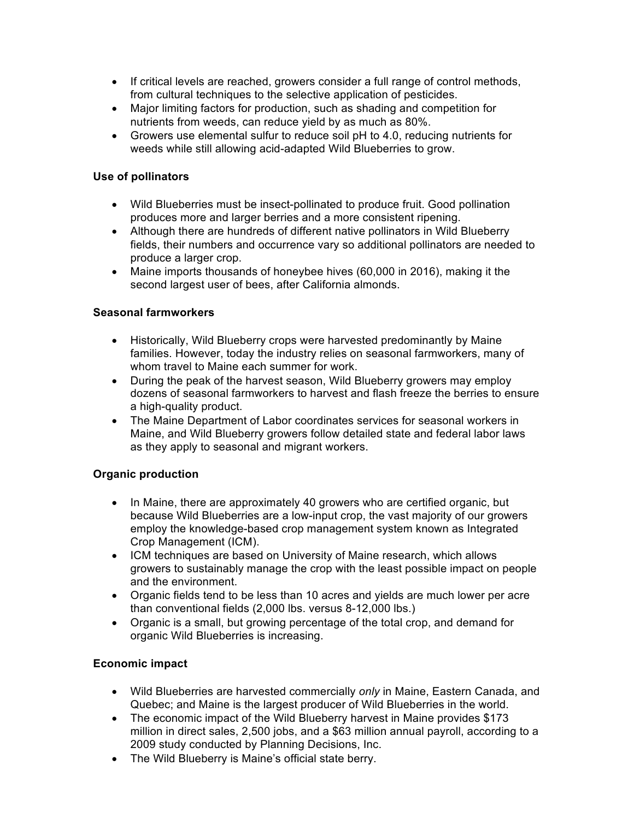- If critical levels are reached, growers consider a full range of control methods, from cultural techniques to the selective application of pesticides.
- Major limiting factors for production, such as shading and competition for nutrients from weeds, can reduce yield by as much as 80%.
- Growers use elemental sulfur to reduce soil pH to 4.0, reducing nutrients for weeds while still allowing acid-adapted Wild Blueberries to grow.

## **Use of pollinators**

- Wild Blueberries must be insect-pollinated to produce fruit. Good pollination produces more and larger berries and a more consistent ripening.
- Although there are hundreds of different native pollinators in Wild Blueberry fields, their numbers and occurrence vary so additional pollinators are needed to produce a larger crop.
- Maine imports thousands of honeybee hives (60,000 in 2016), making it the second largest user of bees, after California almonds.

## **Seasonal farmworkers**

- Historically, Wild Blueberry crops were harvested predominantly by Maine families. However, today the industry relies on seasonal farmworkers, many of whom travel to Maine each summer for work.
- During the peak of the harvest season, Wild Blueberry growers may employ dozens of seasonal farmworkers to harvest and flash freeze the berries to ensure a high-quality product.
- The Maine Department of Labor coordinates services for seasonal workers in Maine, and Wild Blueberry growers follow detailed state and federal labor laws as they apply to seasonal and migrant workers.

# **Organic production**

- In Maine, there are approximately 40 growers who are certified organic, but because Wild Blueberries are a low-input crop, the vast majority of our growers employ the knowledge-based crop management system known as Integrated Crop Management (ICM).
- ICM techniques are based on University of Maine research, which allows growers to sustainably manage the crop with the least possible impact on people and the environment.
- Organic fields tend to be less than 10 acres and yields are much lower per acre than conventional fields (2,000 lbs. versus 8-12,000 lbs.)
- Organic is a small, but growing percentage of the total crop, and demand for organic Wild Blueberries is increasing.

# **Economic impact**

- Wild Blueberries are harvested commercially *only* in Maine, Eastern Canada, and Quebec; and Maine is the largest producer of Wild Blueberries in the world.
- The economic impact of the Wild Blueberry harvest in Maine provides \$173 million in direct sales, 2,500 jobs, and a \$63 million annual payroll, according to a 2009 study conducted by Planning Decisions, Inc.
- The Wild Blueberry is Maine's official state berry.